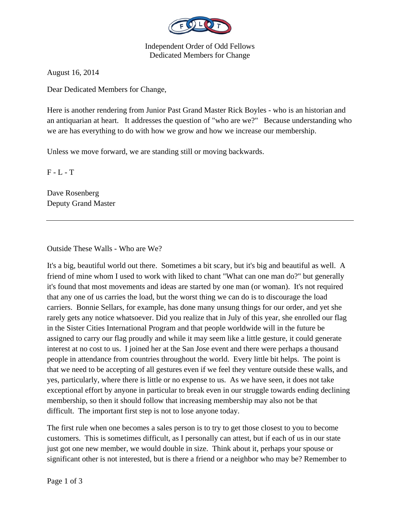

Independent Order of Odd Fellows Dedicated Members for Change

August 16, 2014

Dear Dedicated Members for Change,

Here is another rendering from Junior Past Grand Master Rick Boyles - who is an historian and an antiquarian at heart. It addresses the question of "who are we?" Because understanding who we are has everything to do with how we grow and how we increase our membership.

Unless we move forward, we are standing still or moving backwards.

F - L - T

Dave Rosenberg Deputy Grand Master

Outside These Walls - Who are We?

It's a big, beautiful world out there. Sometimes a bit scary, but it's big and beautiful as well. A friend of mine whom I used to work with liked to chant "What can one man do?" but generally it's found that most movements and ideas are started by one man (or woman). It's not required that any one of us carries the load, but the worst thing we can do is to discourage the load carriers. Bonnie Sellars, for example, has done many unsung things for our order, and yet she rarely gets any notice whatsoever. Did you realize that in July of this year, she enrolled our flag in the Sister Cities International Program and that people worldwide will in the future be assigned to carry our flag proudly and while it may seem like a little gesture, it could generate interest at no cost to us. I joined her at the San Jose event and there were perhaps a thousand people in attendance from countries throughout the world. Every little bit helps. The point is that we need to be accepting of all gestures even if we feel they venture outside these walls, and yes, particularly, where there is little or no expense to us. As we have seen, it does not take exceptional effort by anyone in particular to break even in our struggle towards ending declining membership, so then it should follow that increasing membership may also not be that difficult. The important first step is not to lose anyone today.

The first rule when one becomes a sales person is to try to get those closest to you to become customers. This is sometimes difficult, as I personally can attest, but if each of us in our state just got one new member, we would double in size. Think about it, perhaps your spouse or significant other is not interested, but is there a friend or a neighbor who may be? Remember to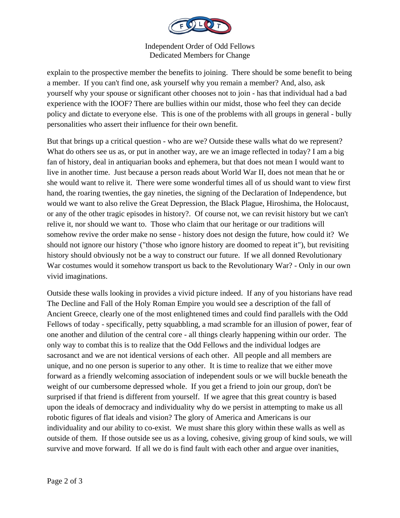

Independent Order of Odd Fellows Dedicated Members for Change

explain to the prospective member the benefits to joining. There should be some benefit to being a member. If you can't find one, ask yourself why you remain a member? And, also, ask yourself why your spouse or significant other chooses not to join - has that individual had a bad experience with the IOOF? There are bullies within our midst, those who feel they can decide policy and dictate to everyone else. This is one of the problems with all groups in general - bully personalities who assert their influence for their own benefit.

But that brings up a critical question - who are we? Outside these walls what do we represent? What do others see us as, or put in another way, are we an image reflected in today? I am a big fan of history, deal in antiquarian books and ephemera, but that does not mean I would want to live in another time. Just because a person reads about World War II, does not mean that he or she would want to relive it. There were some wonderful times all of us should want to view first hand, the roaring twenties, the gay nineties, the signing of the Declaration of Independence, but would we want to also relive the Great Depression, the Black Plague, Hiroshima, the Holocaust, or any of the other tragic episodes in history?. Of course not, we can revisit history but we can't relive it, nor should we want to. Those who claim that our heritage or our traditions will somehow revive the order make no sense - history does not design the future, how could it? We should not ignore our history ("those who ignore history are doomed to repeat it"), but revisiting history should obviously not be a way to construct our future. If we all donned Revolutionary War costumes would it somehow transport us back to the Revolutionary War? - Only in our own vivid imaginations.

Outside these walls looking in provides a vivid picture indeed. If any of you historians have read The Decline and Fall of the Holy Roman Empire you would see a description of the fall of Ancient Greece, clearly one of the most enlightened times and could find parallels with the Odd Fellows of today - specifically, petty squabbling, a mad scramble for an illusion of power, fear of one another and dilution of the central core - all things clearly happening within our order. The only way to combat this is to realize that the Odd Fellows and the individual lodges are sacrosanct and we are not identical versions of each other. All people and all members are unique, and no one person is superior to any other. It is time to realize that we either move forward as a friendly welcoming association of independent souls or we will buckle beneath the weight of our cumbersome depressed whole. If you get a friend to join our group, don't be surprised if that friend is different from yourself. If we agree that this great country is based upon the ideals of democracy and individuality why do we persist in attempting to make us all robotic figures of flat ideals and vision? The glory of America and Americans is our individuality and our ability to co-exist. We must share this glory within these walls as well as outside of them. If those outside see us as a loving, cohesive, giving group of kind souls, we will survive and move forward. If all we do is find fault with each other and argue over inanities,